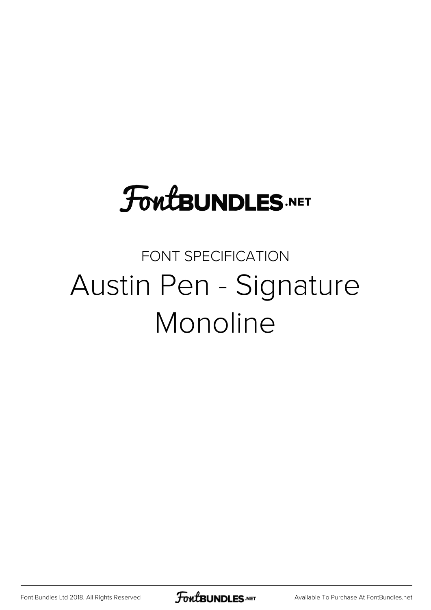## **FoutBUNDLES.NET**

## FONT SPECIFICATION Austin Pen - Signature Monoline

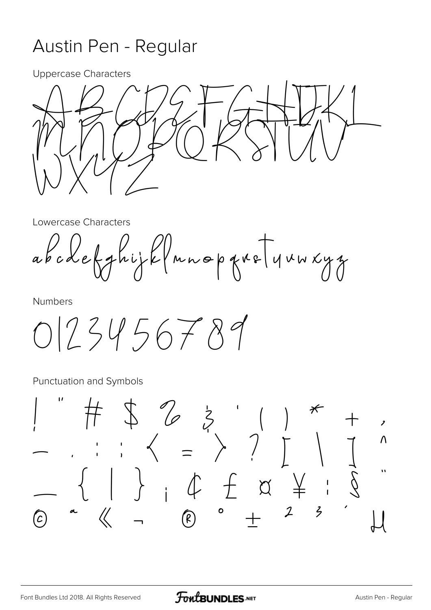## Austin Pen - Regular

**Uppercase Characters** 



Lowercase Characters

abodefghijk (nnopgreTynwxyz

**Numbers** 

 $0123456789$ 

Punctuation and Symbols

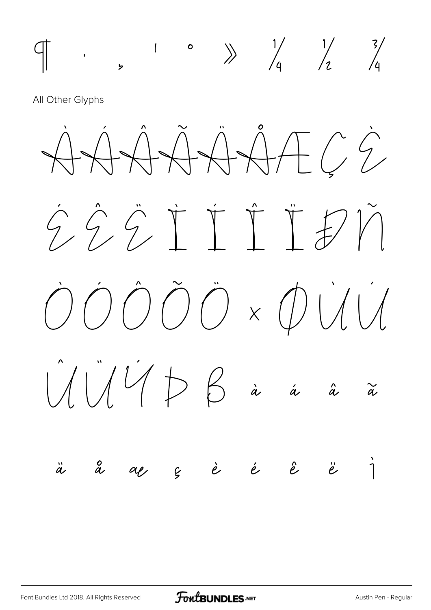

All Other Glyphs

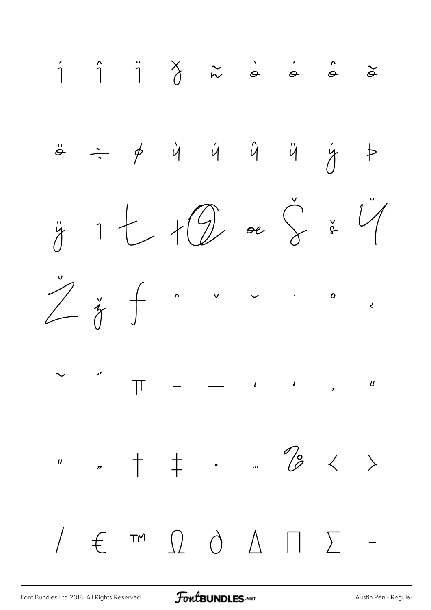

FontBUNDLES.NET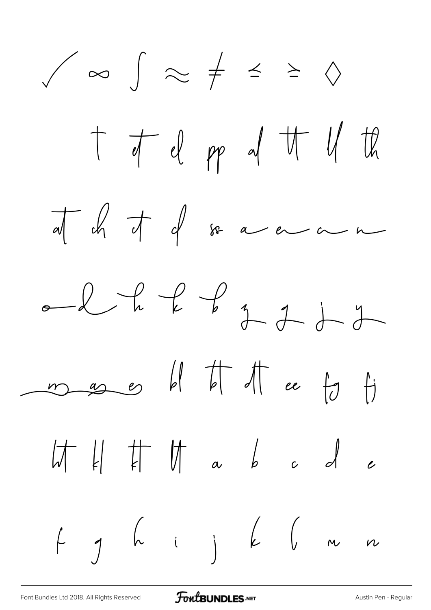